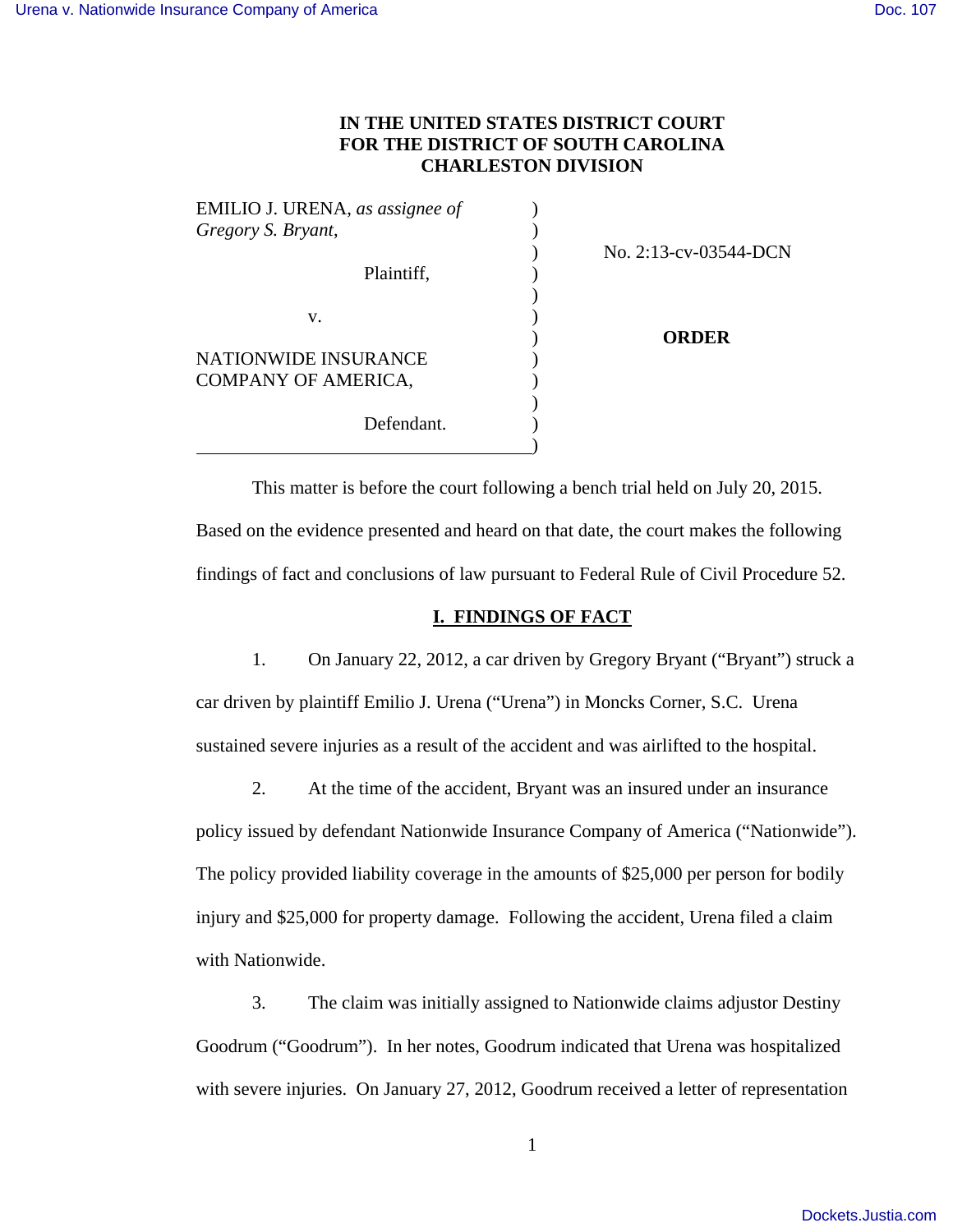## **IN THE UNITED STATES DISTRICT COURT FOR THE DISTRICT OF SOUTH CAROLINA CHARLESTON DIVISION**

EMILIO J. URENA, *as assignee of* ) *Gregory S. Bryant*, ) Plaintiff,  $\qquad \qquad$ )  $)$ v. (1) ) **ORDER** NATIONWIDE INSURANCE ) COMPANY OF AMERICA,  $($  $)$ Defendant. <u>)</u>

) No. 2:13-cv-03544-DCN

 This matter is before the court following a bench trial held on July 20, 2015. Based on the evidence presented and heard on that date, the court makes the following findings of fact and conclusions of law pursuant to Federal Rule of Civil Procedure 52.

## **I. FINDINGS OF FACT**

 1. On January 22, 2012, a car driven by Gregory Bryant ("Bryant") struck a car driven by plaintiff Emilio J. Urena ("Urena") in Moncks Corner, S.C. Urena sustained severe injuries as a result of the accident and was airlifted to the hospital.

 2. At the time of the accident, Bryant was an insured under an insurance policy issued by defendant Nationwide Insurance Company of America ("Nationwide"). The policy provided liability coverage in the amounts of \$25,000 per person for bodily injury and \$25,000 for property damage. Following the accident, Urena filed a claim with Nationwide.

 3. The claim was initially assigned to Nationwide claims adjustor Destiny Goodrum ("Goodrum"). In her notes, Goodrum indicated that Urena was hospitalized with severe injuries. On January 27, 2012, Goodrum received a letter of representation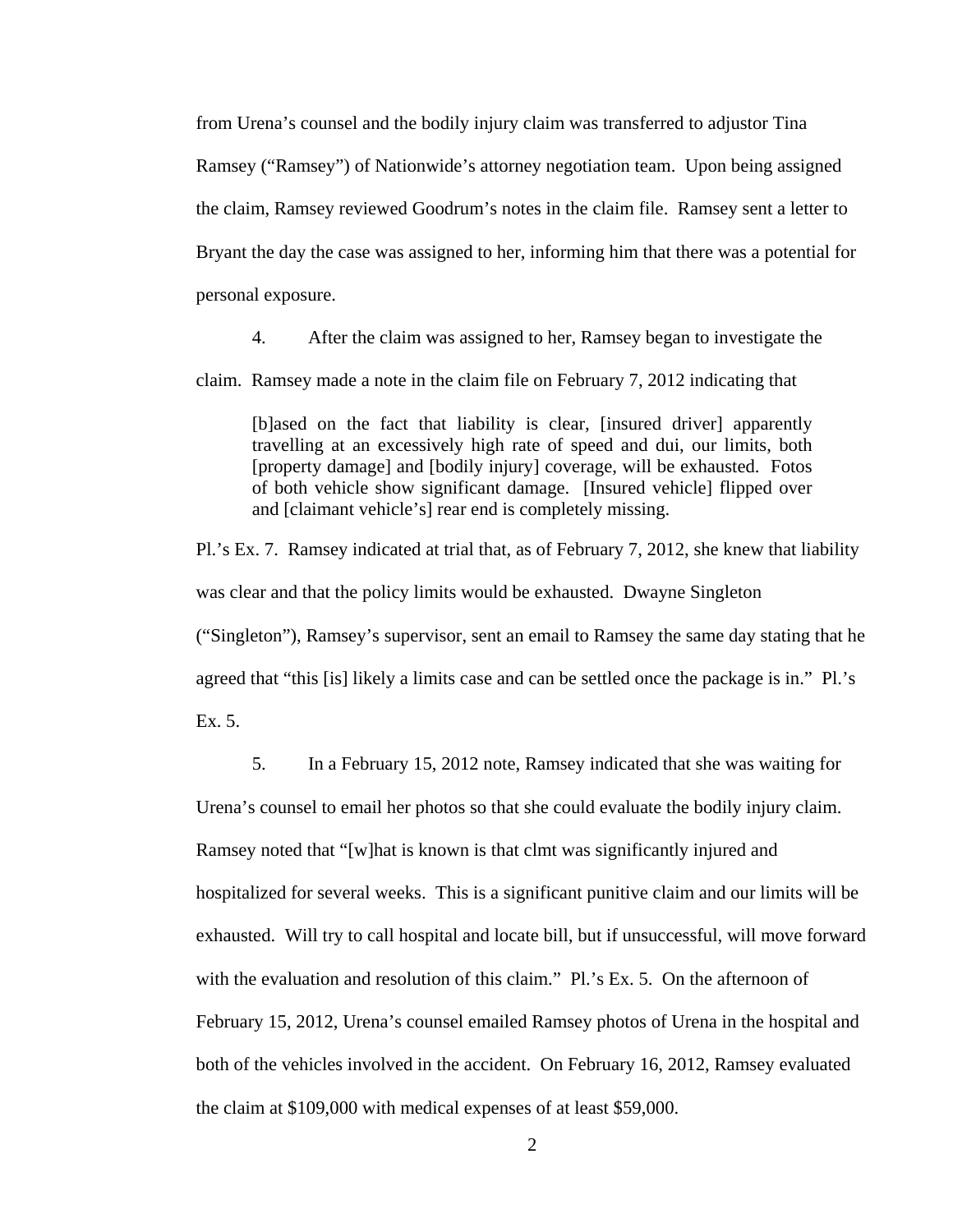from Urena's counsel and the bodily injury claim was transferred to adjustor Tina Ramsey ("Ramsey") of Nationwide's attorney negotiation team. Upon being assigned the claim, Ramsey reviewed Goodrum's notes in the claim file. Ramsey sent a letter to Bryant the day the case was assigned to her, informing him that there was a potential for personal exposure.

 4. After the claim was assigned to her, Ramsey began to investigate the claim. Ramsey made a note in the claim file on February 7, 2012 indicating that

[b]ased on the fact that liability is clear, [insured driver] apparently travelling at an excessively high rate of speed and dui, our limits, both [property damage] and [bodily injury] coverage, will be exhausted. Fotos of both vehicle show significant damage. [Insured vehicle] flipped over and [claimant vehicle's] rear end is completely missing.

Pl.'s Ex. 7. Ramsey indicated at trial that, as of February 7, 2012, she knew that liability was clear and that the policy limits would be exhausted. Dwayne Singleton ("Singleton"), Ramsey's supervisor, sent an email to Ramsey the same day stating that he agreed that "this [is] likely a limits case and can be settled once the package is in." Pl.'s  $Ex.5.$ 

 5. In a February 15, 2012 note, Ramsey indicated that she was waiting for Urena's counsel to email her photos so that she could evaluate the bodily injury claim. Ramsey noted that "[w]hat is known is that clmt was significantly injured and hospitalized for several weeks. This is a significant punitive claim and our limits will be exhausted. Will try to call hospital and locate bill, but if unsuccessful, will move forward with the evaluation and resolution of this claim."  $\text{Pl.}$ 's Ex. 5. On the afternoon of February 15, 2012, Urena's counsel emailed Ramsey photos of Urena in the hospital and both of the vehicles involved in the accident. On February 16, 2012, Ramsey evaluated the claim at \$109,000 with medical expenses of at least \$59,000.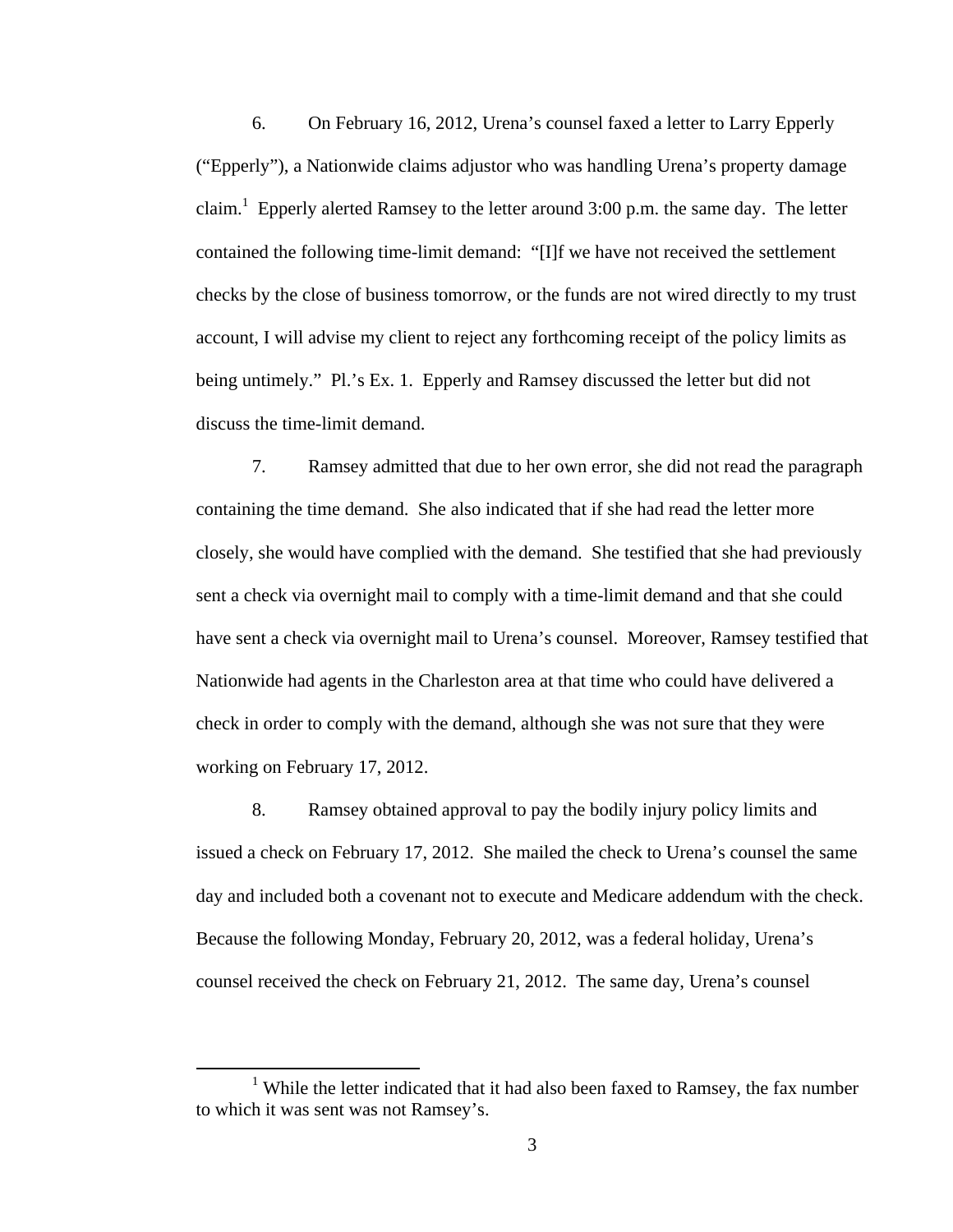6. On February 16, 2012, Urena's counsel faxed a letter to Larry Epperly ("Epperly"), a Nationwide claims adjustor who was handling Urena's property damage claim.<sup>1</sup> Epperly alerted Ramsey to the letter around 3:00 p.m. the same day. The letter contained the following time-limit demand: "[I]f we have not received the settlement checks by the close of business tomorrow, or the funds are not wired directly to my trust account, I will advise my client to reject any forthcoming receipt of the policy limits as being untimely." Pl.'s Ex. 1. Epperly and Ramsey discussed the letter but did not discuss the time-limit demand.

 7. Ramsey admitted that due to her own error, she did not read the paragraph containing the time demand. She also indicated that if she had read the letter more closely, she would have complied with the demand. She testified that she had previously sent a check via overnight mail to comply with a time-limit demand and that she could have sent a check via overnight mail to Urena's counsel. Moreover, Ramsey testified that Nationwide had agents in the Charleston area at that time who could have delivered a check in order to comply with the demand, although she was not sure that they were working on February 17, 2012.

 8. Ramsey obtained approval to pay the bodily injury policy limits and issued a check on February 17, 2012. She mailed the check to Urena's counsel the same day and included both a covenant not to execute and Medicare addendum with the check. Because the following Monday, February 20, 2012, was a federal holiday, Urena's counsel received the check on February 21, 2012. The same day, Urena's counsel

<sup>&</sup>lt;sup>1</sup> While the letter indicated that it had also been faxed to Ramsey, the fax number to which it was sent was not Ramsey's.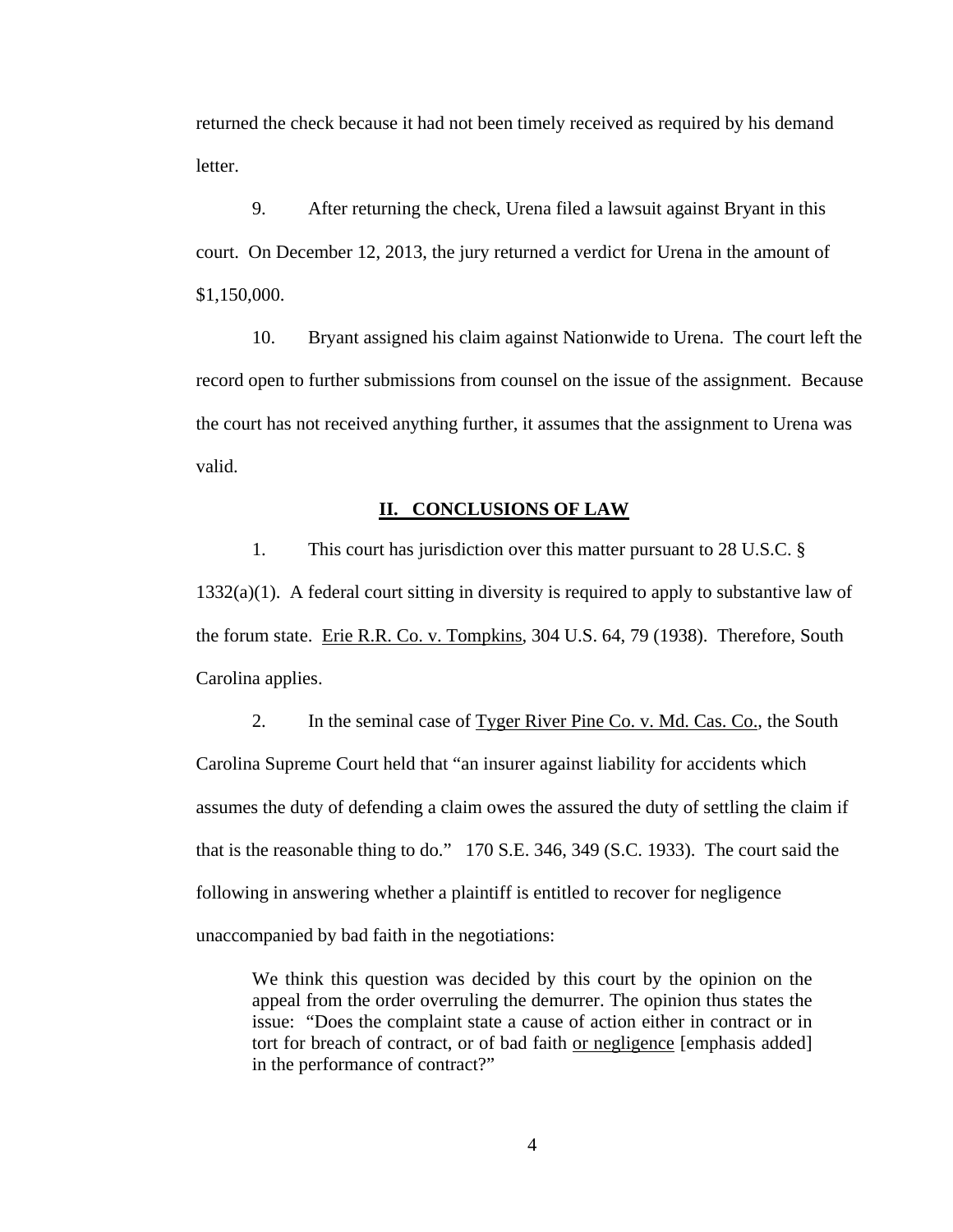returned the check because it had not been timely received as required by his demand letter.

 9. After returning the check, Urena filed a lawsuit against Bryant in this court. On December 12, 2013, the jury returned a verdict for Urena in the amount of \$1,150,000.

 10. Bryant assigned his claim against Nationwide to Urena. The court left the record open to further submissions from counsel on the issue of the assignment. Because the court has not received anything further, it assumes that the assignment to Urena was valid.

## **II. CONCLUSIONS OF LAW**

 1. This court has jurisdiction over this matter pursuant to 28 U.S.C. § 1332(a)(1). A federal court sitting in diversity is required to apply to substantive law of the forum state. Erie R.R. Co. v. Tompkins, 304 U.S. 64, 79 (1938). Therefore, South Carolina applies.

 2. In the seminal case of Tyger River Pine Co. v. Md. Cas. Co., the South Carolina Supreme Court held that "an insurer against liability for accidents which assumes the duty of defending a claim owes the assured the duty of settling the claim if that is the reasonable thing to do." 170 S.E. 346, 349 (S.C. 1933). The court said the following in answering whether a plaintiff is entitled to recover for negligence unaccompanied by bad faith in the negotiations:

We think this question was decided by this court by the opinion on the appeal from the order overruling the demurrer. The opinion thus states the issue: "Does the complaint state a cause of action either in contract or in tort for breach of contract, or of bad faith or negligence [emphasis added] in the performance of contract?"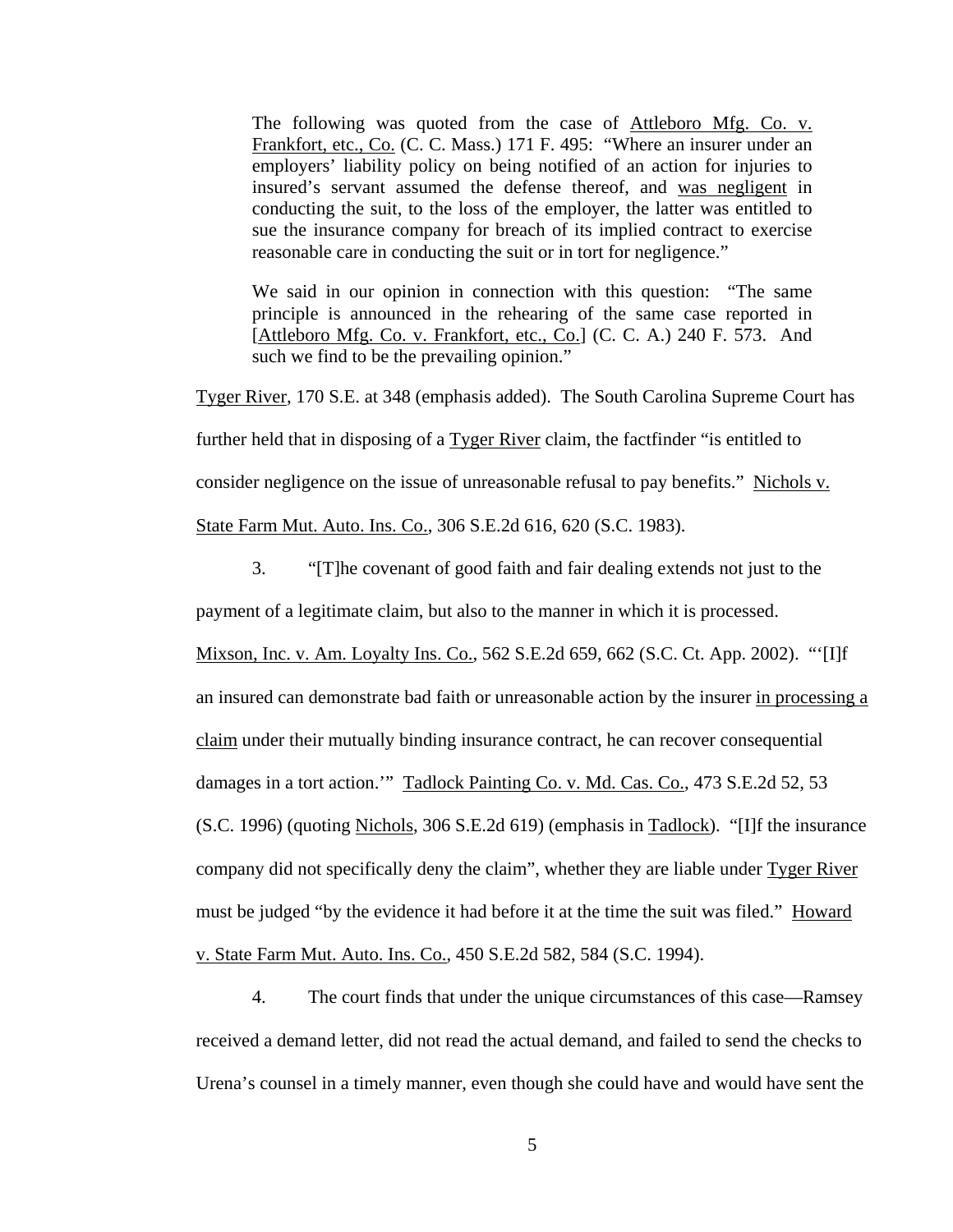The following was quoted from the case of Attleboro Mfg. Co. v. Frankfort, etc., Co. (C. C. Mass.) 171 F. 495: "Where an insurer under an employers' liability policy on being notified of an action for injuries to insured's servant assumed the defense thereof, and was negligent in conducting the suit, to the loss of the employer, the latter was entitled to sue the insurance company for breach of its implied contract to exercise reasonable care in conducting the suit or in tort for negligence."

We said in our opinion in connection with this question: "The same principle is announced in the rehearing of the same case reported in [Attleboro Mfg. Co. v. Frankfort, etc., Co.] (C. C. A.) 240 F. 573. And such we find to be the prevailing opinion."

Tyger River, 170 S.E. at 348 (emphasis added). The South Carolina Supreme Court has further held that in disposing of a Tyger River claim, the factfinder "is entitled to consider negligence on the issue of unreasonable refusal to pay benefits." Nichols v. State Farm Mut. Auto. Ins. Co., 306 S.E.2d 616, 620 (S.C. 1983).

3. "[T]he covenant of good faith and fair dealing extends not just to the

payment of a legitimate claim, but also to the manner in which it is processed.

Mixson, Inc. v. Am. Loyalty Ins. Co., 562 S.E.2d 659, 662 (S.C. Ct. App. 2002). "'[I]f an insured can demonstrate bad faith or unreasonable action by the insurer in processing a claim under their mutually binding insurance contract, he can recover consequential damages in a tort action.'" Tadlock Painting Co. v. Md. Cas. Co., 473 S.E.2d 52, 53 (S.C. 1996) (quoting Nichols, 306 S.E.2d 619) (emphasis in Tadlock). "[I]f the insurance company did not specifically deny the claim", whether they are liable under Tyger River must be judged "by the evidence it had before it at the time the suit was filed." Howard v. State Farm Mut. Auto. Ins. Co., 450 S.E.2d 582, 584 (S.C. 1994).

 4. The court finds that under the unique circumstances of this case—Ramsey received a demand letter, did not read the actual demand, and failed to send the checks to Urena's counsel in a timely manner, even though she could have and would have sent the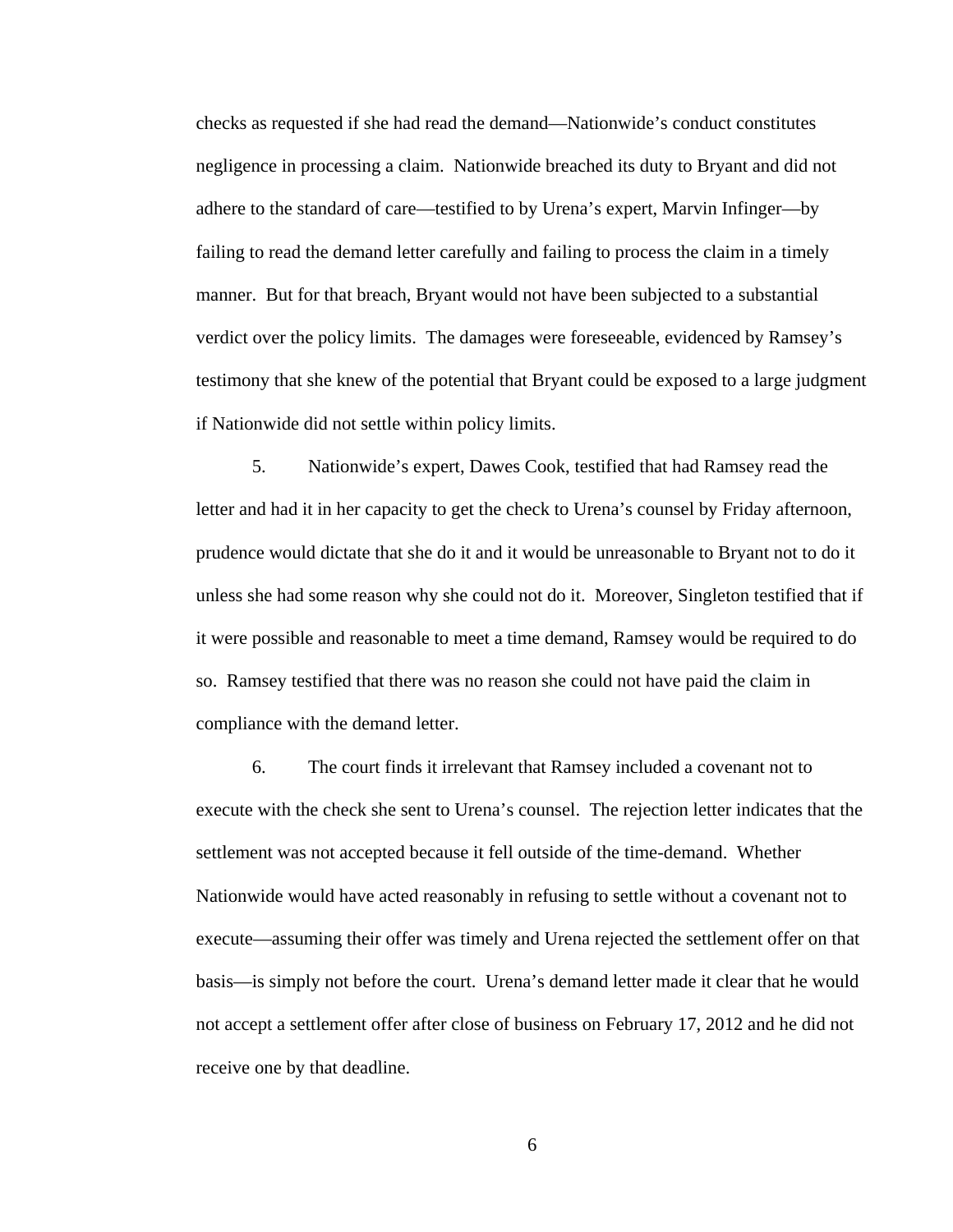checks as requested if she had read the demand—Nationwide's conduct constitutes negligence in processing a claim. Nationwide breached its duty to Bryant and did not adhere to the standard of care—testified to by Urena's expert, Marvin Infinger—by failing to read the demand letter carefully and failing to process the claim in a timely manner. But for that breach, Bryant would not have been subjected to a substantial verdict over the policy limits. The damages were foreseeable, evidenced by Ramsey's testimony that she knew of the potential that Bryant could be exposed to a large judgment if Nationwide did not settle within policy limits.

 5. Nationwide's expert, Dawes Cook, testified that had Ramsey read the letter and had it in her capacity to get the check to Urena's counsel by Friday afternoon, prudence would dictate that she do it and it would be unreasonable to Bryant not to do it unless she had some reason why she could not do it. Moreover, Singleton testified that if it were possible and reasonable to meet a time demand, Ramsey would be required to do so. Ramsey testified that there was no reason she could not have paid the claim in compliance with the demand letter.

 6. The court finds it irrelevant that Ramsey included a covenant not to execute with the check she sent to Urena's counsel. The rejection letter indicates that the settlement was not accepted because it fell outside of the time-demand. Whether Nationwide would have acted reasonably in refusing to settle without a covenant not to execute—assuming their offer was timely and Urena rejected the settlement offer on that basis—is simply not before the court. Urena's demand letter made it clear that he would not accept a settlement offer after close of business on February 17, 2012 and he did not receive one by that deadline.